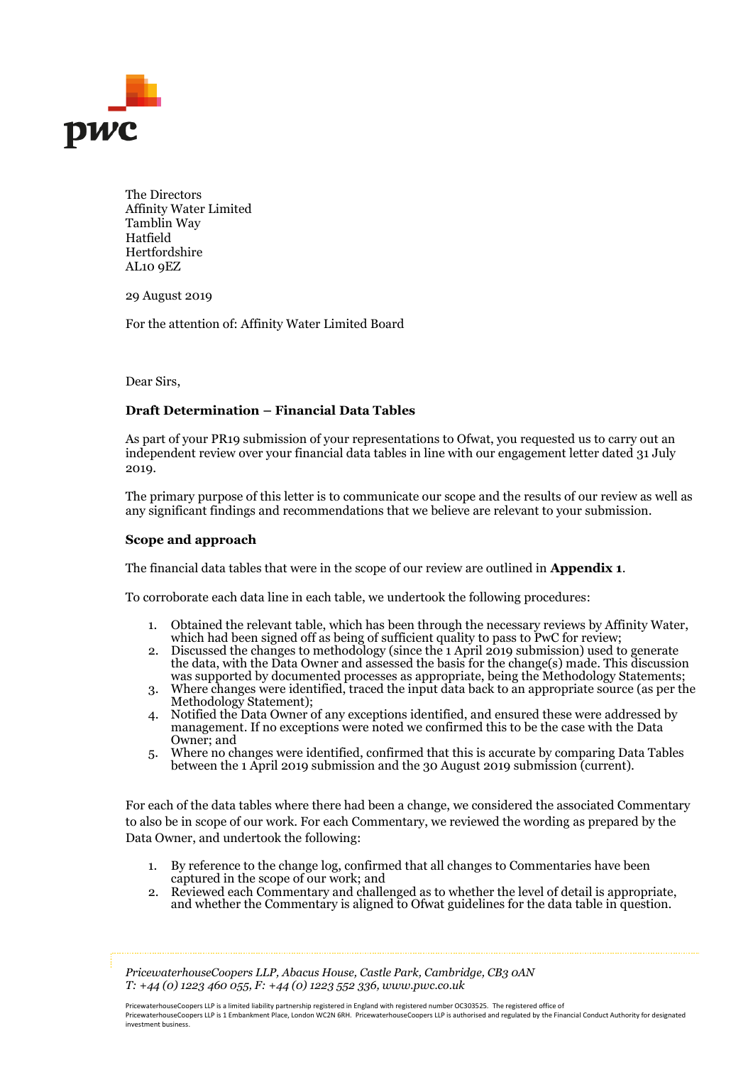

The Directors Affinity Water Limited Tamblin Way Hatfield Hertfordshire AL10 9EZ

29 August 2019

For the attention of: Affinity Water Limited Board

Dear Sirs,

## **Draft Determination – Financial Data Tables**

As part of your PR19 submission of your representations to Ofwat, you requested us to carry out an independent review over your financial data tables in line with our engagement letter dated 31 July 2019.

The primary purpose of this letter is to communicate our scope and the results of our review as well as any significant findings and recommendations that we believe are relevant to your submission.

## **Scope and approach**

The financial data tables that were in the scope of our review are outlined in **Appendix 1**.

To corroborate each data line in each table, we undertook the following procedures:

- 1. Obtained the relevant table, which has been through the necessary reviews by Affinity Water, which had been signed off as being of sufficient quality to pass to PwC for review;
- 2. Discussed the changes to methodology (since the 1 April 2019 submission) used to generate the data, with the Data Owner and assessed the basis for the change(s) made. This discussion was supported by documented processes as appropriate, being the Methodology Statements;
- 3. Where changes were identified, traced the input data back to an appropriate source (as per the Methodology Statement);
- 4. Notified the Data Owner of any exceptions identified, and ensured these were addressed by management. If no exceptions were noted we confirmed this to be the case with the Data Owner; and
- 5. Where no changes were identified, confirmed that this is accurate by comparing Data Tables between the 1 April 2019 submission and the 30 August 2019 submission (current).

For each of the data tables where there had been a change, we considered the associated Commentary to also be in scope of our work. For each Commentary, we reviewed the wording as prepared by the Data Owner, and undertook the following:

- 1. By reference to the change log, confirmed that all changes to Commentaries have been captured in the scope of our work; and
- 2. Reviewed each Commentary and challenged as to whether the level of detail is appropriate, and whether the Commentary is aligned to Ofwat guidelines for the data table in question.

*PricewaterhouseCoopers LLP, Abacus House, Castle Park, Cambridge, CB3 0AN T: +44 (0) 1223 460 055, F: +44 (0) 1223 552 336, www.pwc.co.uk*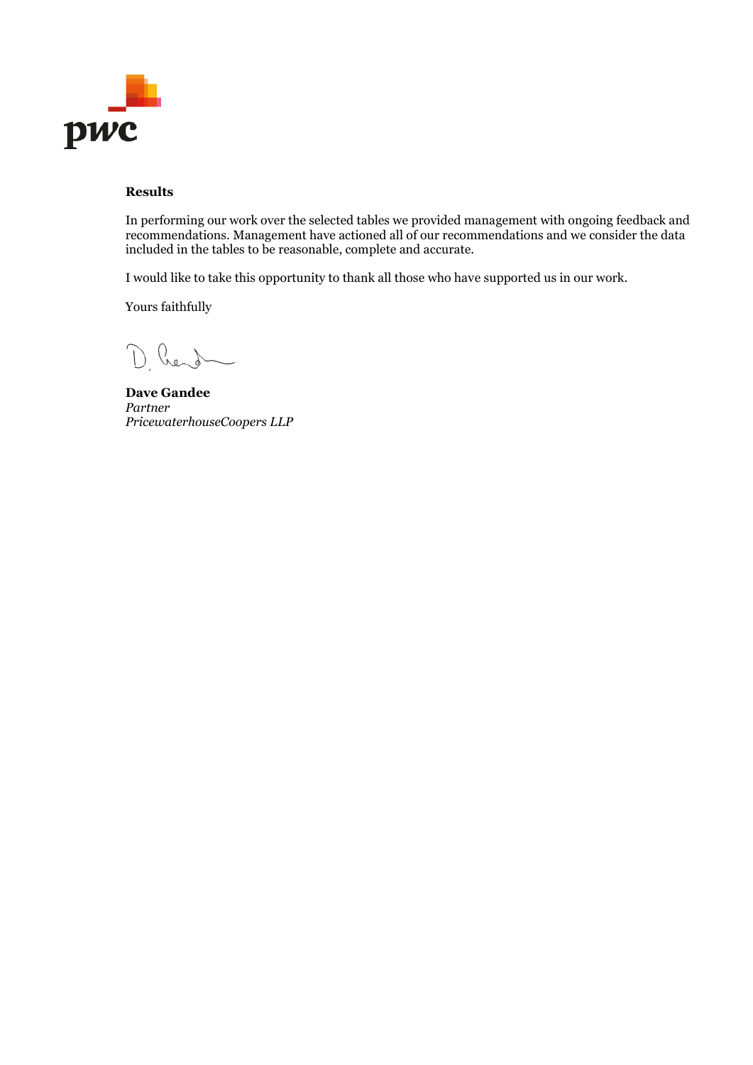

## **Results**

In performing our work over the selected tables we provided management with ongoing feedback and recommendations. Management have actioned all of our recommendations and we consider the data included in the tables to be reasonable, complete and accurate.

I would like to take this opportunity to thank all those who have supported us in our work.

Yours faithfully

D. Rend

**Dave Gandee** *Partner PricewaterhouseCoopers LLP*